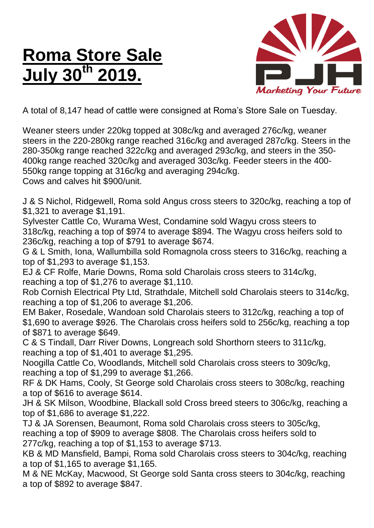## **Roma Store Sale July 30th 2019.**



A total of 8,147 head of cattle were consigned at Roma's Store Sale on Tuesday.

Weaner steers under 220kg topped at 308c/kg and averaged 276c/kg, weaner steers in the 220-280kg range reached 316c/kg and averaged 287c/kg. Steers in the 280-350kg range reached 322c/kg and averaged 293c/kg, and steers in the 350- 400kg range reached 320c/kg and averaged 303c/kg. Feeder steers in the 400- 550kg range topping at 316c/kg and averaging 294c/kg. Cows and calves hit \$900/unit.

J & S Nichol, Ridgewell, Roma sold Angus cross steers to 320c/kg, reaching a top of \$1,321 to average \$1,191.

Sylvester Cattle Co, Wurama West, Condamine sold Wagyu cross steers to 318c/kg, reaching a top of \$974 to average \$894. The Wagyu cross heifers sold to 236c/kg, reaching a top of \$791 to average \$674.

G & L Smith, Iona, Wallumbilla sold Romagnola cross steers to 316c/kg, reaching a top of \$1,293 to average \$1,153.

EJ & CF Rolfe, Marie Downs, Roma sold Charolais cross steers to 314c/kg, reaching a top of \$1,276 to average \$1,110.

Rob Cornish Electrical Pty Ltd, Strathdale, Mitchell sold Charolais steers to 314c/kg, reaching a top of \$1,206 to average \$1,206.

EM Baker, Rosedale, Wandoan sold Charolais steers to 312c/kg, reaching a top of \$1,690 to average \$926. The Charolais cross heifers sold to 256c/kg, reaching a top of \$871 to average \$649.

C & S Tindall, Darr River Downs, Longreach sold Shorthorn steers to 311c/kg, reaching a top of \$1,401 to average \$1,295.

Noogilla Cattle Co, Woodlands, Mitchell sold Charolais cross steers to 309c/kg, reaching a top of \$1,299 to average \$1,266.

RF & DK Hams, Cooly, St George sold Charolais cross steers to 308c/kg, reaching a top of \$616 to average \$614.

JH & SK Milson, Woodbine, Blackall sold Cross breed steers to 306c/kg, reaching a top of \$1,686 to average \$1,222.

TJ & JA Sorensen, Beaumont, Roma sold Charolais cross steers to 305c/kg, reaching a top of \$909 to average \$808. The Charolais cross heifers sold to 277c/kg, reaching a top of \$1,153 to average \$713.

KB & MD Mansfield, Bampi, Roma sold Charolais cross steers to 304c/kg, reaching a top of \$1,165 to average \$1,165.

M & NE McKay, Macwood, St George sold Santa cross steers to 304c/kg, reaching a top of \$892 to average \$847.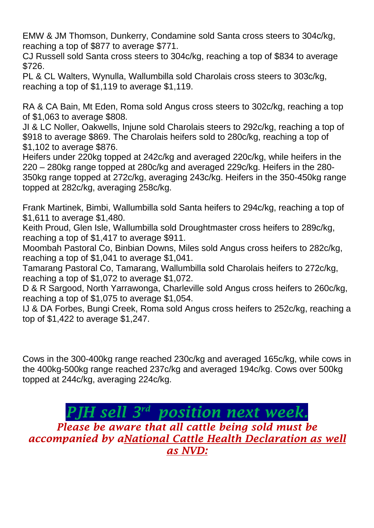EMW & JM Thomson, Dunkerry, Condamine sold Santa cross steers to 304c/kg, reaching a top of \$877 to average \$771.

CJ Russell sold Santa cross steers to 304c/kg, reaching a top of \$834 to average \$726.

PL & CL Walters, Wynulla, Wallumbilla sold Charolais cross steers to 303c/kg, reaching a top of \$1,119 to average \$1,119.

RA & CA Bain, Mt Eden, Roma sold Angus cross steers to 302c/kg, reaching a top of \$1,063 to average \$808.

JI & LC Noller, Oakwells, Injune sold Charolais steers to 292c/kg, reaching a top of \$918 to average \$869. The Charolais heifers sold to 280c/kg, reaching a top of \$1,102 to average \$876.

Heifers under 220kg topped at 242c/kg and averaged 220c/kg, while heifers in the 220 – 280kg range topped at 280c/kg and averaged 229c/kg. Heifers in the 280- 350kg range topped at 272c/kg, averaging 243c/kg. Heifers in the 350-450kg range topped at 282c/kg, averaging 258c/kg.

Frank Martinek, Bimbi, Wallumbilla sold Santa heifers to 294c/kg, reaching a top of \$1,611 to average \$1,480.

Keith Proud, Glen Isle, Wallumbilla sold Droughtmaster cross heifers to 289c/kg, reaching a top of \$1,417 to average \$911.

Moombah Pastoral Co, Binbian Downs, Miles sold Angus cross heifers to 282c/kg, reaching a top of \$1,041 to average \$1,041.

Tamarang Pastoral Co, Tamarang, Wallumbilla sold Charolais heifers to 272c/kg, reaching a top of \$1,072 to average \$1,072.

D & R Sargood, North Yarrawonga, Charleville sold Angus cross heifers to 260c/kg, reaching a top of \$1,075 to average \$1,054.

IJ & DA Forbes, Bungi Creek, Roma sold Angus cross heifers to 252c/kg, reaching a top of \$1,422 to average \$1,247.

Cows in the 300-400kg range reached 230c/kg and averaged 165c/kg, while cows in the 400kg-500kg range reached 237c/kg and averaged 194c/kg. Cows over 500kg topped at 244c/kg, averaging 224c/kg.

## *PJH sell 3 rd position next week.*

*Please be aware that all cattle being sold must be accompanied by aNational Cattle Health Declaration as well as NVD:*